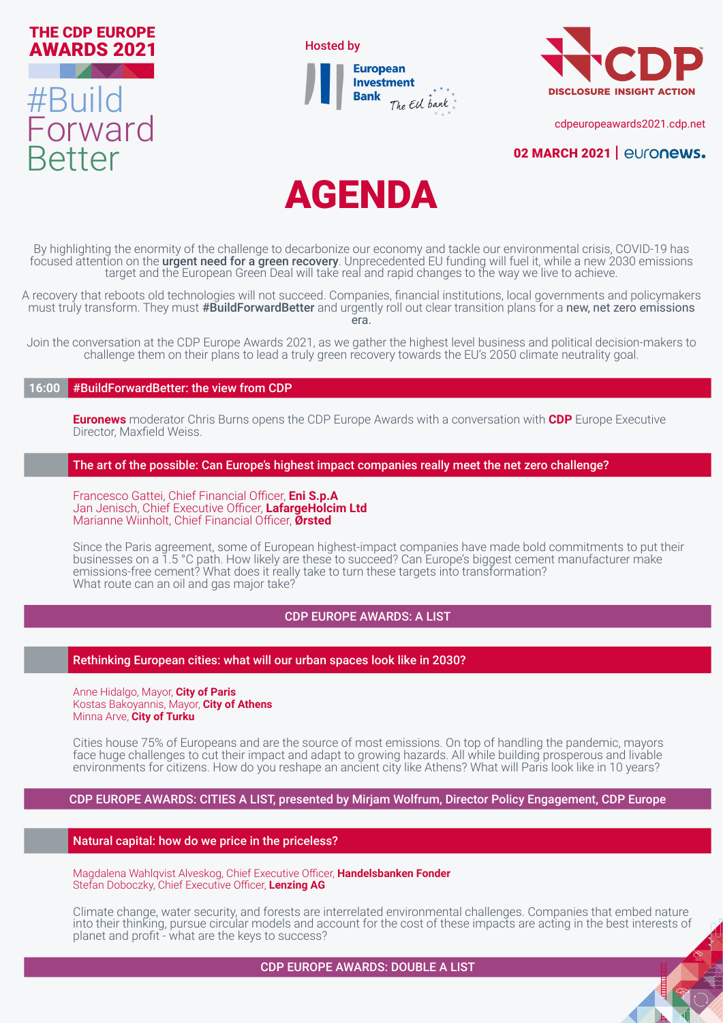





[cdpeuropeawards2021.cdp.net](http://cdpeuropeawards2021.cdp.net)

# **[02 MARCH 2021 |](http://www.cdp.net/europeawards) euronews.**



By highlighting the enormity of the challenge to decarbonize our economy and tackle our environmental crisis, COVID-19 has focused attention on the urgent need for a green recovery. Unprecedented EU funding will fuel it, while a new 2030 emissions target and the European Green Deal will take real and rapid changes to the way we live to achieve.

A recovery that reboots old technologies will not succeed. Companies, financial institutions, local governments and policymakers must truly transform. They must #BuildForwardBetter and urgently roll out clear transition plans for a new, net zero emissions era.

Join the conversation at the CDP Europe Awards 2021, as we gather the highest level business and political decision-makers to challenge them on their plans to lead a truly green recovery towards the EU's 2050 climate neutrality goal.

# **16:00** #BuildForwardBetter: the view from CDP

**Euronews** moderator Chris Burns opens the CDP Europe Awards with a conversation with **CDP** Europe Executive Director, Maxfield Weiss.

### The art of the possible: Can Europe's highest impact companies really meet the net zero challenge?

Francesco Gattei, Chief Financial Officer, **Eni S.p.A** Jan Jenisch, Chief Executive Officer, **LafargeHolcim Ltd** Marianne Wiinholt, Chief Financial Officer, **Ørsted**

Since the Paris agreement, some of European highest-impact companies have made bold commitments to put their businesses on a 1.5 °C path. How likely are these to succeed? Can Europe's biggest cement manufacturer make emissions-free cement? What does it really take to turn these targets into transformation? What route can an oil and gas major take?

# CDP EUROPE AWARDS: A LIST

Rethinking European cities: what will our urban spaces look like in 2030?

Anne Hidalgo, Mayor, **City of Paris** Kostas Bakoyannis, Mayor, **City of Athens** Minna Arve, **City of Turku**

Cities house 75% of Europeans and are the source of most emissions. On top of handling the pandemic, mayors face huge challenges to cut their impact and adapt to growing hazards. All while building prosperous and livable environments for citizens. How do you reshape an ancient city like Athens? What will Paris look like in 10 years?

CDP EUROPE AWARDS: CITIES A LIST, presented by Mirjam Wolfrum, Director Policy Engagement, CDP Europe

Natural capital: how do we price in the priceless?

Magdalena Wahlqvist Alveskog, Chief Executive Officer, **Handelsbanken Fonder** Stefan Doboczky, Chief Executive Officer, **Lenzing AG**

Climate change, water security, and forests are interrelated environmental challenges. Companies that embed nature into their thinking, pursue circular models and account for the cost of these impacts are acting in the best interests of planet and profit - what are the keys to success?

CDP EUROPE AWARDS: DOUBLE A LIST